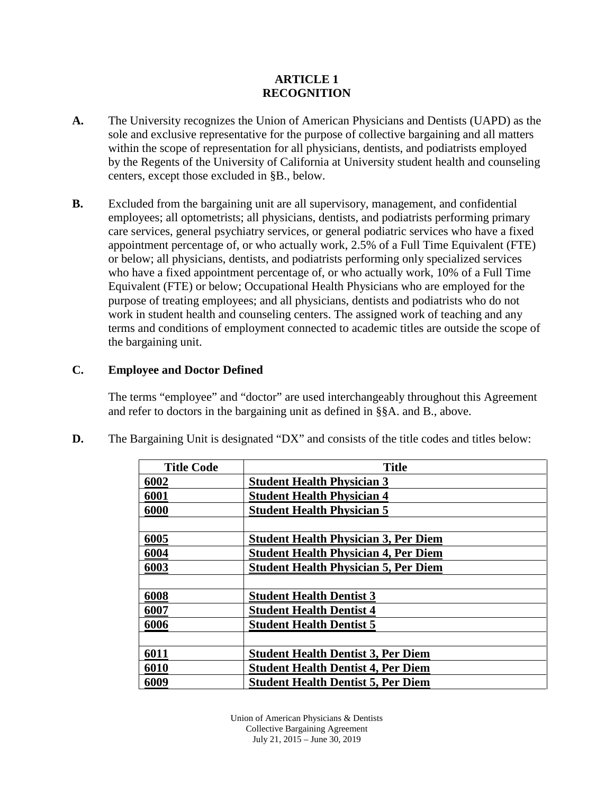### **ARTICLE 1 RECOGNITION**

- **A.** The University recognizes the Union of American Physicians and Dentists (UAPD) as the sole and exclusive representative for the purpose of collective bargaining and all matters within the scope of representation for all physicians, dentists, and podiatrists employed by the Regents of the University of California at University student health and counseling centers, except those excluded in §B., below.
- **B.** Excluded from the bargaining unit are all supervisory, management, and confidential employees; all optometrists; all physicians, dentists, and podiatrists performing primary care services, general psychiatry services, or general podiatric services who have a fixed appointment percentage of, or who actually work, 2.5% of a Full Time Equivalent (FTE) or below; all physicians, dentists, and podiatrists performing only specialized services who have a fixed appointment percentage of, or who actually work, 10% of a Full Time Equivalent (FTE) or below; Occupational Health Physicians who are employed for the purpose of treating employees; and all physicians, dentists and podiatrists who do not work in student health and counseling centers. The assigned work of teaching and any terms and conditions of employment connected to academic titles are outside the scope of the bargaining unit.

### **C. Employee and Doctor Defined**

The terms "employee" and "doctor" are used interchangeably throughout this Agreement and refer to doctors in the bargaining unit as defined in §§A. and B., above.

| <b>Title Code</b> | <b>Title</b>                                |
|-------------------|---------------------------------------------|
| 6002              | <b>Student Health Physician 3</b>           |
| 6001              | <b>Student Health Physician 4</b>           |
| 6000              | <b>Student Health Physician 5</b>           |
| 6005              | <b>Student Health Physician 3, Per Diem</b> |
| 6004              | <b>Student Health Physician 4, Per Diem</b> |
| 6003              | <b>Student Health Physician 5, Per Diem</b> |
|                   |                                             |
| 6008              | <b>Student Health Dentist 3</b>             |
| 6007              | <b>Student Health Dentist 4</b>             |
| 6006              | <b>Student Health Dentist 5</b>             |
| 6011              | <b>Student Health Dentist 3, Per Diem</b>   |
| 6010              | <b>Student Health Dentist 4, Per Diem</b>   |
| 6009              | <b>Student Health Dentist 5, Per Diem</b>   |

**D.** The Bargaining Unit is designated "DX" and consists of the title codes and titles below: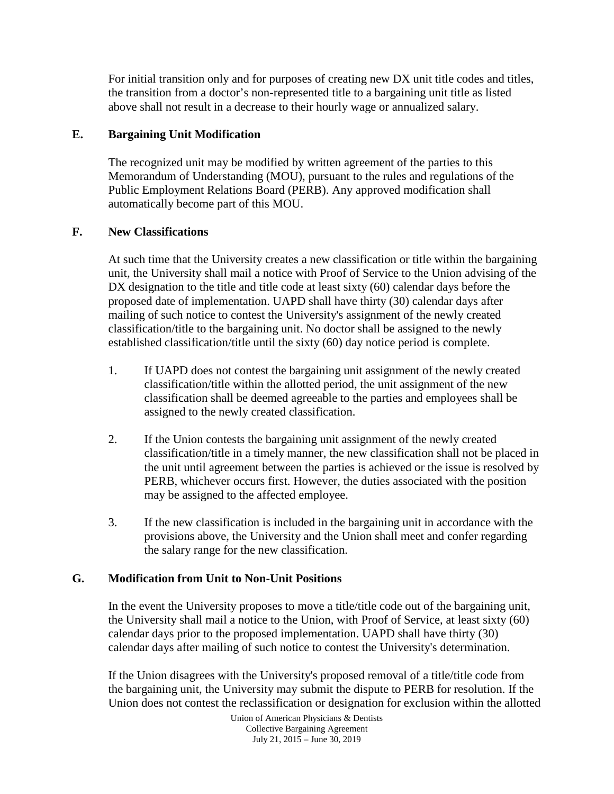For initial transition only and for purposes of creating new DX unit title codes and titles, the transition from a doctor's non-represented title to a bargaining unit title as listed above shall not result in a decrease to their hourly wage or annualized salary.

## **E. Bargaining Unit Modification**

The recognized unit may be modified by written agreement of the parties to this Memorandum of Understanding (MOU), pursuant to the rules and regulations of the Public Employment Relations Board (PERB). Any approved modification shall automatically become part of this MOU.

### **F. New Classifications**

At such time that the University creates a new classification or title within the bargaining unit, the University shall mail a notice with Proof of Service to the Union advising of the DX designation to the title and title code at least sixty (60) calendar days before the proposed date of implementation. UAPD shall have thirty (30) calendar days after mailing of such notice to contest the University's assignment of the newly created classification/title to the bargaining unit. No doctor shall be assigned to the newly established classification/title until the sixty (60) day notice period is complete.

- 1. If UAPD does not contest the bargaining unit assignment of the newly created classification/title within the allotted period, the unit assignment of the new classification shall be deemed agreeable to the parties and employees shall be assigned to the newly created classification.
- 2. If the Union contests the bargaining unit assignment of the newly created classification/title in a timely manner, the new classification shall not be placed in the unit until agreement between the parties is achieved or the issue is resolved by PERB, whichever occurs first. However, the duties associated with the position may be assigned to the affected employee.
- 3. If the new classification is included in the bargaining unit in accordance with the provisions above, the University and the Union shall meet and confer regarding the salary range for the new classification.

# **G. Modification from Unit to Non-Unit Positions**

In the event the University proposes to move a title/title code out of the bargaining unit, the University shall mail a notice to the Union, with Proof of Service, at least sixty (60) calendar days prior to the proposed implementation. UAPD shall have thirty (30) calendar days after mailing of such notice to contest the University's determination.

If the Union disagrees with the University's proposed removal of a title/title code from the bargaining unit, the University may submit the dispute to PERB for resolution. If the Union does not contest the reclassification or designation for exclusion within the allotted